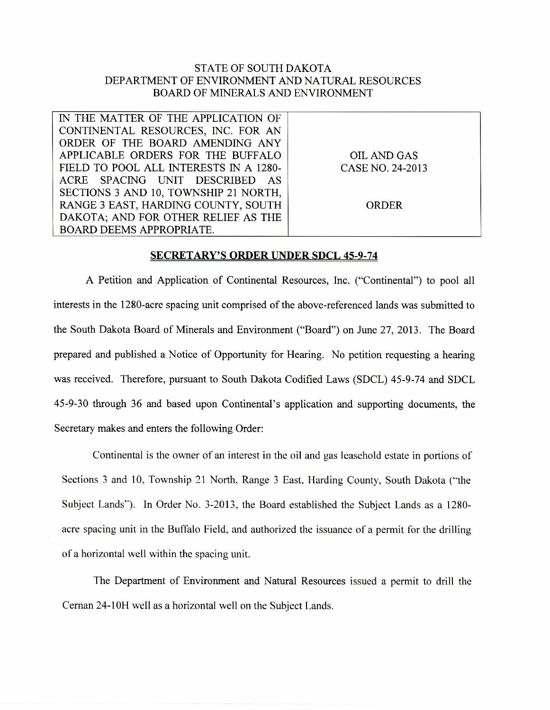## STATE OF SOUTH DAKOTA DEPARTMENT OF ENVIRONMENT AND NATURAL RESOURCES BOARD OF MINERALS AND ENVIRONMENT

| IN THE MATTER OF THE APPLICATION OF    |                  |
|----------------------------------------|------------------|
| CONTINENTAL RESOURCES, INC. FOR AN     |                  |
| ORDER OF THE BOARD AMENDING ANY        |                  |
| APPLICABLE ORDERS FOR THE BUFFALO      | OIL AND GAS      |
| FIELD TO POOL ALL INTERESTS IN A 1280- | CASE NO. 24-2013 |
| ACRE SPACING UNIT DESCRIBED AS         |                  |
| SECTIONS 3 AND 10, TOWNSHIP 21 NORTH,  |                  |
| RANGE 3 EAST, HARDING COUNTY, SOUTH    | ORDER            |
| DAKOTA; AND FOR OTHER RELIEF AS THE    |                  |
| <b>BOARD DEEMS APPROPRIATE.</b>        |                  |

## **SECRETARY'S ORDER UNDER SDCL 45-9-74**

A Petition and Application of Continental Resources, Inc. ("Continental") to pool all interests in the 1280-acre spacing unit comprised of the above-referenced lands was submitted to the South Dakota Board of Minerals and Environment ("Board") on June 27, 2013. The Board prepared and published a Notice of Opportunity for Hearing. No petition requesting a hearing was received. Therefore, pursuant to South Dakota Codified Laws (SDCL) 45-9-74 and SDCL 45-9-30 through 36 and based upon Continental's application and supporting documents, the Secretary makes and enters the following Order:

Continental is the owner of an interest in the oil and gas leasehold estate in portions of Sections 3 and 10, Township 21 North, Range 3 East, Harding County, South Dakota ("the Subject Lands"). In Order No. 3-2013, the Board established the Subject Lands as a 1280 acre spacing unit in the Buffalo Field, and authorized the issuance of a permit for the drilling of a horizontal well within the spacing unit.

The Department of Environment and Natural Resources issued a permit to drill the Cernan 24-10H well as a horizontal well on the Subject Lands.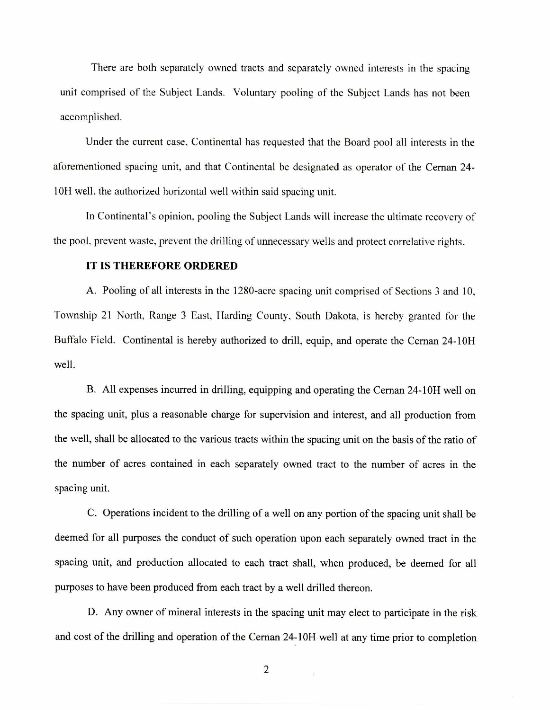There are both separately owned tracts and separately owned interests in the spacing unit comprised of the Subject Lands. Voluntary pooling of the Subject Lands has not been accomplished.

Under the current case. Continental has requested that the Board pool all interests in the aforementioned spacing unit, and that Continental be designated as operator of the Cernan 24- 10H well, the authorized horizontal well within said spacing unit.

In Continental's opinion, pooling the Subject Lands will increase the ultimate recovery of the pool, prevent waste, prevent the drilling of unnecessary wells and protect correlative rights.

## **IT IS THEREFORE ORDERED**

A. Pooling of all interests in the 1280-acre spacing unit comprised of Sections 3 and 10. Township 21 North, Range 3 East, Harding County, South Dakota, is hereby granted for the Buffalo Field. Continental is hereby authorized to drill, equip, and operate the Cernan 24-10H well.

B. All expenses incurred in drilling, equipping and operating the Cernan 24-10H well on the spacing unit, plus a reasonable charge for supervision and interest, and all production from the well, shall be allocated to the various tracts within the spacing unit on the basis of the ratio of the number of acres contained in each separately owned tract to the number of acres in the spacing unit.

C. Operations incident to the drilling of a well on any portion of the spacing unit shall be deemed for all purposes the conduct of such operation upon each separately owned tract in the spacing unit, and production allocated to each tract shall, when produced, be deemed for all purposes to have been produced from each tract by a well drilled thereon.

D. Any owner of mineral interests in the spacing unit may elect to participate in the risk and cost of the drilling and operation of the Cernan 24-10H well at any time prior to completion

2